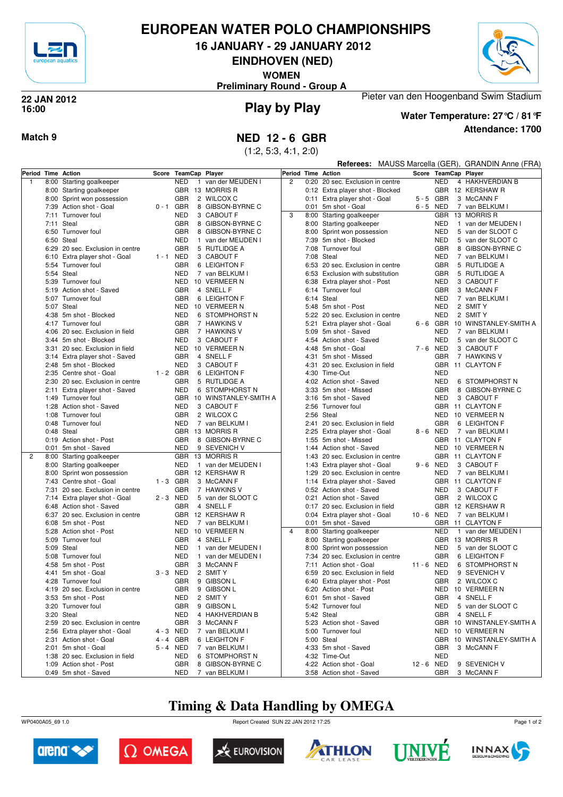

## **EUROPEAN WATER POLO CHAMPIONSHIPS**

**16 JANUARY - 29 JANUARY 2012**

**EINDHOVEN (NED)**

**WOMEN**





### **Play by Play 22 JAN 2012 16:00**



**Water Temperature: 27°C / 81°F**

Pieter van den Hoogenband Swim Stadium

**Attendance: 1700**

## **Match 9 NED 12 - 6 GBR**

(1:2, 5:3, 4:1, 2:0)

|              |      |                                                         |             |                          |                |                                    |                | <b>Referees:</b> MAUSS Marcella (GER), GRANDIN Anne (FRA) |                                                       |            |                          |              |                                    |
|--------------|------|---------------------------------------------------------|-------------|--------------------------|----------------|------------------------------------|----------------|-----------------------------------------------------------|-------------------------------------------------------|------------|--------------------------|--------------|------------------------------------|
|              |      | Period Time Action                                      | Score       |                          | TeamCap Player |                                    |                |                                                           | Period Time Action                                    |            |                          |              | Score TeamCap Player               |
| $\mathbf{1}$ | 8:00 | Starting goalkeeper                                     |             | <b>NED</b>               | $\mathbf{1}$   | van der MEIJDEN I                  | $\overline{2}$ |                                                           | 0:20 20 sec. Exclusion in centre                      |            | <b>NED</b>               |              | 4 HAKHVERDIAN B                    |
|              |      | 8:00 Starting goalkeeper                                |             |                          |                | GBR 13 MORRIS R                    |                |                                                           | 0:12 Extra player shot - Blocked                      |            |                          |              | GBR 12 KERSHAW R                   |
|              |      | 8:00 Sprint won possession                              |             | <b>GBR</b>               |                | 2 WILCOX C                         |                |                                                           | 0:11 Extra player shot - Goal                         |            | 5-5 GBR                  |              | 3 McCANN F                         |
|              |      | 7:39 Action shot - Goal                                 | $0 - 1$ GBR |                          |                | 8 GIBSON-BYRNE C                   |                |                                                           | 0:01 5m shot - Goal                                   |            | 6-5 NED                  |              | 7 van BELKUM I                     |
|              |      | 7:11 Turnover foul                                      |             | NED                      |                | 3 CABOUT F                         | 3              |                                                           | 8:00 Starting goalkeeper                              |            | <b>GBR</b>               |              | 13 MORRIS R                        |
|              |      | 7:11 Steal                                              |             | <b>GBR</b>               |                | 8 GIBSON-BYRNE C                   |                |                                                           | 8:00 Starting goalkeeper                              |            | <b>NED</b>               |              | 1 van der MEIJDEN I                |
|              |      | 6:50 Turnover foul                                      |             | <b>GBR</b>               |                | 8 GIBSON-BYRNE C                   |                |                                                           | 8:00 Sprint won possession                            |            | <b>NED</b>               |              | 5 van der SLOOT C                  |
|              |      | 6:50 Steal                                              |             | <b>NED</b>               |                | 1 van der MEIJDEN I                |                | 7:39                                                      | 5m shot - Blocked                                     |            | <b>NED</b>               |              | 5 van der SLOOT C                  |
|              |      | 6:29 20 sec. Exclusion in centre                        |             | <b>GBR</b>               |                | 5 RUTLIDGE A                       |                |                                                           | 7:08 Turnover foul                                    |            | <b>GBR</b>               |              | 8 GIBSON-BYRNE C                   |
|              |      | 6:10 Extra player shot - Goal                           | 1-1 NED     |                          |                | 3 CABOUT F                         |                | 7:08 Steal                                                |                                                       |            | <b>NED</b>               |              | 7 van BELKUM I                     |
|              |      | 5:54 Turnover foul                                      |             | <b>GBR</b>               |                | 6 LEIGHTON F                       |                |                                                           | 6:53 20 sec. Exclusion in centre                      |            | <b>GBR</b>               |              | 5 RUTLIDGE A                       |
|              |      | 5:54 Steal                                              |             | <b>NED</b>               |                | 7 van BELKUM I                     |                |                                                           | 6:53 Exclusion with substitution                      |            | <b>GBR</b>               |              | 5 RUTLIDGE A                       |
|              |      | 5:39 Turnover foul                                      |             | NED                      |                | 10 VERMEER N<br>4 SNELL F          |                |                                                           | 6:38 Extra player shot - Post                         |            | <b>NED</b>               |              | 3 CABOUT F                         |
|              |      | 5:19 Action shot - Saved<br>5:07 Turnover foul          |             | <b>GBR</b><br><b>GBR</b> |                |                                    |                |                                                           | 6:14 Turnover foul<br>6:14 Steal                      |            | <b>GBR</b><br><b>NED</b> |              | 3 McCANN F                         |
|              |      | 5:07 Steal                                              |             |                          |                | 6 LEIGHTON F<br>NED 10 VERMEER N   |                |                                                           | 5:48 5m shot - Post                                   |            | <b>NED</b>               |              | 7 van BELKUM I<br>2 SMIT Y         |
|              |      | 4:38 5m shot - Blocked                                  |             | <b>NED</b>               |                | 6 STOMPHORST N                     |                |                                                           | 5:22 20 sec. Exclusion in centre                      |            | <b>NED</b>               |              | 2 SMIT Y                           |
|              |      | 4:17 Turnover foul                                      |             | <b>GBR</b>               |                | 7 HAWKINS V                        |                |                                                           | 5:21 Extra player shot - Goal                         |            |                          |              | 6 - 6 GBR 10 WINSTANLEY-SMITH A    |
|              |      | 4:06 20 sec. Exclusion in field                         |             | <b>GBR</b>               |                | 7 HAWKINS V                        |                |                                                           | 5:09 5m shot - Saved                                  |            | <b>NED</b>               |              | 7 van BELKUM I                     |
|              |      | 3:44 5m shot - Blocked                                  |             | NED                      |                | 3 CABOUT F                         |                |                                                           | 4:54 Action shot - Saved                              |            | <b>NED</b>               |              | 5 van der SLOOT C                  |
|              |      | 3:31 20 sec. Exclusion in field                         |             | NED                      |                | 10 VERMEER N                       |                |                                                           | 4:48 5m shot - Goal                                   |            | 7-6 NED                  |              | 3 CABOUT F                         |
|              |      | 3:14 Extra player shot - Saved                          |             | <b>GBR</b>               |                | 4 SNELL F                          |                |                                                           | 4:31 5m shot - Missed                                 |            | <b>GBR</b>               |              | 7 HAWKINS V                        |
|              |      | 2:48 5m shot - Blocked                                  |             | <b>NED</b>               |                | 3 CABOUT F                         |                |                                                           | 4:31 20 sec. Exclusion in field                       |            | <b>GBR</b>               |              | 11 CLAYTON F                       |
|              |      | 2:35 Centre shot - Goal                                 | $1 - 2$ GBR |                          |                | 6 LEIGHTON F                       |                |                                                           | 4:30 Time-Out                                         |            | <b>NED</b>               |              |                                    |
|              |      | 2:30 20 sec. Exclusion in centre                        |             | <b>GBR</b>               |                | 5 RUTLIDGE A                       |                |                                                           | 4:02 Action shot - Saved                              |            | <b>NED</b>               |              | 6 STOMPHORST N                     |
|              |      | 2:11 Extra player shot - Saved                          |             | <b>NED</b>               |                | 6 STOMPHORST N                     |                |                                                           | 3:33 5m shot - Missed                                 |            | <b>GBR</b>               |              | 8 GIBSON-BYRNE C                   |
|              |      | 1:49 Turnover foul                                      |             |                          |                | GBR 10 WINSTANLEY-SMITH A          |                |                                                           | 3:16 5m shot - Saved                                  |            | <b>NED</b>               |              | 3 CABOUT F                         |
|              | 1:28 | Action shot - Saved                                     |             | <b>NED</b>               |                | 3 CABOUT F                         |                |                                                           | 2:56 Turnover foul                                    |            |                          |              | GBR 11 CLAYTON F                   |
|              |      | 1:08 Turnover foul                                      |             | <b>GBR</b>               |                | 2 WILCOX C                         |                |                                                           | 2:56 Steal                                            |            | <b>NED</b>               |              | 10 VERMEER N                       |
|              |      | 0:48 Turnover foul                                      |             | <b>NED</b>               |                | 7 van BELKUM I                     |                |                                                           | 2:41 20 sec. Exclusion in field                       |            | <b>GBR</b>               |              | 6 LEIGHTON F                       |
|              |      | 0:48 Steal                                              |             |                          |                | GBR 13 MORRIS R                    |                |                                                           | 2:25 Extra player shot - Goal                         |            | 8-6 NED                  |              | 7 van BELKUM I                     |
|              |      | 0:19 Action shot - Post                                 |             | <b>GBR</b>               |                | 8 GIBSON-BYRNE C                   |                |                                                           | 1:55 5m shot - Missed                                 |            |                          |              | GBR 11 CLAYTON F                   |
|              |      | 0:01 5m shot - Saved                                    |             | <b>NED</b>               |                | 9 SEVENICH V                       |                |                                                           | 1:44 Action shot - Saved                              |            |                          |              | NED 10 VERMEER N                   |
| 2            |      | 8:00 Starting goalkeeper                                |             |                          |                | GBR 13 MORRIS R                    |                | 1:43                                                      | 20 sec. Exclusion in centre                           |            |                          |              | GBR 11 CLAYTON F                   |
|              |      | 8:00 Starting goalkeeper                                |             | NED                      |                | 1 van der MEIJDEN I                |                | 1:43                                                      | Extra player shot - Goal                              |            | $9 - 6$ NED              |              | 3 CABOUT F                         |
|              |      | 8:00 Sprint won possession                              |             |                          |                | GBR 12 KERSHAW R                   |                | 1:29                                                      | 20 sec. Exclusion in centre                           |            | <b>NED</b>               |              | 7 van BELKUM I                     |
|              |      | 7:43 Centre shot - Goal                                 | $1 - 3$ GBR |                          |                | 3 McCANN F                         |                |                                                           | 1:14 Extra player shot - Saved                        |            |                          |              | GBR 11 CLAYTON F                   |
|              |      | 7:31 20 sec. Exclusion in centre                        |             | <b>GBR</b>               |                | 7 HAWKINS V                        |                |                                                           | 0:52 Action shot - Saved                              |            | <b>NED</b>               |              | 3 CABOUT F                         |
|              |      | 7:14 Extra player shot - Goal                           | 2-3 NED     |                          |                | 5 van der SLOOT C                  |                |                                                           | 0:21 Action shot - Saved                              |            | <b>GBR</b>               |              | 2 WILCOX C                         |
|              |      | 6:48 Action shot - Saved                                |             | <b>GBR</b>               |                | 4 SNELL F                          |                |                                                           | 0:17 20 sec. Exclusion in field                       |            |                          |              | GBR 12 KERSHAW R                   |
|              |      | 6:37 20 sec. Exclusion in centre<br>6:08 5m shot - Post |             | <b>NED</b>               |                | GBR 12 KERSHAW R<br>7 van BELKUM I |                |                                                           | 0:04 Extra player shot - Goal<br>0:01 5m shot - Saved | 10-6 NED   |                          |              | 7 van BELKUM I<br>GBR 11 CLAYTON F |
|              | 5:28 | Action shot - Post                                      |             |                          |                | NED 10 VERMEER N                   | $\overline{4}$ |                                                           | 8:00 Starting goalkeeper                              |            | <b>NED</b>               | $\mathbf{1}$ | van der MEIJDEN I                  |
|              |      | 5:09 Turnover foul                                      |             | <b>GBR</b>               |                | 4 SNELL F                          |                |                                                           | 8:00 Starting goalkeeper                              |            |                          |              | GBR 13 MORRIS R                    |
|              |      | 5:09 Steal                                              |             | <b>NED</b>               |                | 1 van der MEIJDEN I                |                |                                                           | 8:00 Sprint won possession                            |            | <b>NED</b>               |              | 5 van der SLOOT C                  |
|              |      | 5:08 Turnover foul                                      |             | NED                      |                | 1 van der MEIJDEN I                |                |                                                           | 7:34 20 sec. Exclusion in centre                      |            | <b>GBR</b>               |              | 6 LEIGHTON F                       |
|              |      | 4:58 5m shot - Post                                     |             | <b>GBR</b>               |                | 3 McCANN F                         |                |                                                           | 7:11 Action shot - Goal                               | 11 - 6 NED |                          |              | 6 STOMPHORST N                     |
|              |      | 4:41 5m shot - Goal                                     | 3-3 NED     |                          |                | 2 SMIT Y                           |                |                                                           | 6:59 20 sec. Exclusion in field                       |            | NED                      |              | 9 SEVENICH V                       |
|              |      | 4:28 Turnover foul                                      |             | GBR                      |                | 9 GIBSON L                         |                |                                                           | 6:40 Extra player shot - Post                         |            |                          |              | GBR 2 WILCOX C                     |
|              |      | 4:19 20 sec. Exclusion in centre                        |             |                          |                | GBR 9 GIBSON L                     |                |                                                           | 6:20 Action shot - Post                               |            |                          |              | NED 10 VERMEER N                   |
|              |      | 3:53 5m shot - Post                                     |             | NED                      |                | 2 SMIT Y                           |                |                                                           | 6:01 5m shot - Saved                                  |            |                          |              | GBR 4 SNELL F                      |
|              |      | 3:20 Turnover foul                                      |             | <b>GBR</b>               |                | 9 GIBSON L                         |                |                                                           | 5:42 Turnover foul                                    |            | <b>NED</b>               |              | 5 van der SLOOT C                  |
|              |      | 3:20 Steal                                              |             | NED                      |                | 4 HAKHVERDIAN B                    |                |                                                           | 5:42 Steal                                            |            | GBR                      |              | 4 SNELL F                          |
|              |      | 2:59 20 sec. Exclusion in centre                        |             | <b>GBR</b>               |                | 3 McCANN F                         |                |                                                           | 5:23 Action shot - Saved                              |            |                          |              | GBR 10 WINSTANLEY-SMITH A          |
|              |      | 2:56 Extra player shot - Goal                           | 4-3 NED     |                          |                | 7 van BELKUM I                     |                |                                                           | 5:00 Turnover foul                                    |            |                          |              | NED 10 VERMEER N                   |
|              |      | 2:31 Action shot - Goal                                 | 4-4 GBR     |                          |                | 6 LEIGHTON F                       |                |                                                           | 5:00 Steal                                            |            |                          |              | GBR 10 WINSTANLEY-SMITH A          |
|              |      | 2:01 5m shot - Goal                                     | 5-4 NED     |                          |                | 7 van BELKUM I                     |                |                                                           | 4:33 5m shot - Saved                                  |            | GBR                      |              | 3 McCANN F                         |
|              |      | 1:38 20 sec. Exclusion in field                         |             | NED                      |                | 6 STOMPHORST N                     |                |                                                           | 4:32 Time-Out                                         |            | <b>NED</b>               |              |                                    |
|              |      | 1:09 Action shot - Post                                 |             | GBR                      |                | 8 GIBSON-BYRNE C                   |                |                                                           | 4:22 Action shot - Goal                               | 12 - 6 NED |                          |              | 9 SEVENICH V                       |
|              |      | 0:49 5m shot - Saved                                    |             | NED                      |                | 7 van BELKUM I                     |                |                                                           | 3:58 Action shot - Saved                              |            |                          |              | GBR 3 McCANN F                     |

# **Timing & Data Handling by OMEGA**

WP0400A05\_69 1.0 Report Created SUN 22 JAN 2012 17:25













Page 1 of 2